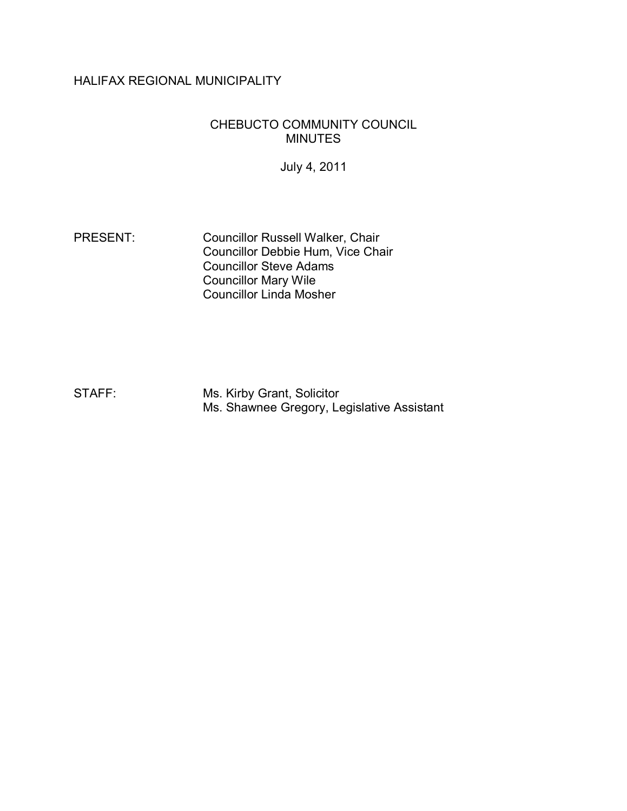# HALIFAX REGIONAL MUNICIPALITY

### CHEBUCTO COMMUNITY COUNCIL MINUTES

July 4, 2011

PRESENT: Councillor Russell Walker, Chair Councillor Debbie Hum, Vice Chair Councillor Steve Adams Councillor Mary Wile Councillor Linda Mosher

STAFF: Ms. Kirby Grant, Solicitor Ms. Shawnee Gregory, Legislative Assistant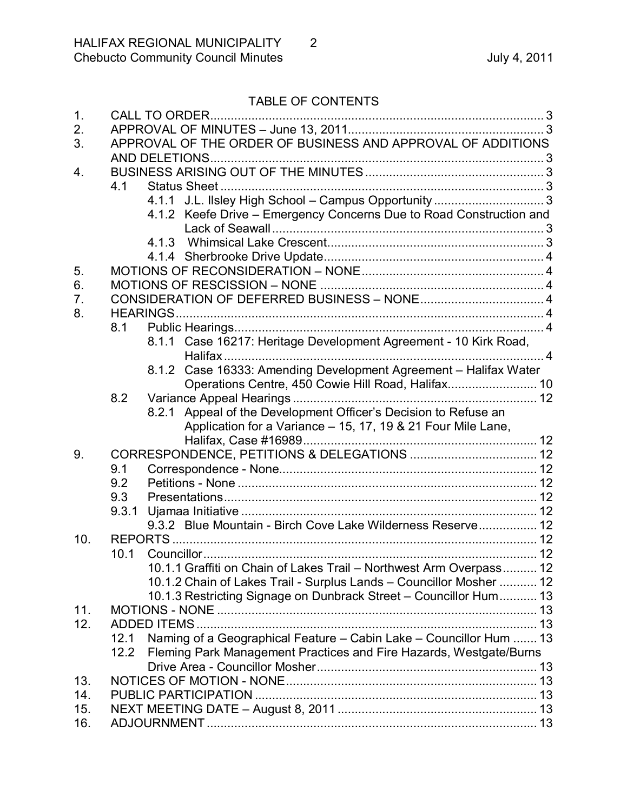# TABLE OF CONTENTS

| 1.  |                                                                            |  |
|-----|----------------------------------------------------------------------------|--|
| 2.  |                                                                            |  |
| 3.  | APPROVAL OF THE ORDER OF BUSINESS AND APPROVAL OF ADDITIONS                |  |
|     |                                                                            |  |
| 4.  |                                                                            |  |
|     | 4.1                                                                        |  |
|     | 4.1.1 J.L. Ilsley High School - Campus Opportunity  3                      |  |
|     | 4.1.2 Keefe Drive - Emergency Concerns Due to Road Construction and        |  |
|     |                                                                            |  |
|     |                                                                            |  |
|     |                                                                            |  |
| 5.  |                                                                            |  |
| 6.  |                                                                            |  |
| 7.  |                                                                            |  |
| 8.  |                                                                            |  |
|     | 8.1                                                                        |  |
|     | 8.1.1 Case 16217: Heritage Development Agreement - 10 Kirk Road,           |  |
|     |                                                                            |  |
|     | 8.1.2 Case 16333: Amending Development Agreement - Halifax Water           |  |
|     |                                                                            |  |
|     | 8.2                                                                        |  |
|     | 8.2.1 Appeal of the Development Officer's Decision to Refuse an            |  |
|     | Application for a Variance - 15, 17, 19 & 21 Four Mile Lane,               |  |
|     |                                                                            |  |
| 9.  |                                                                            |  |
|     | 9.1                                                                        |  |
|     | 9.2                                                                        |  |
|     | 9.3                                                                        |  |
|     | 9.3.1                                                                      |  |
|     | 9.3.2 Blue Mountain - Birch Cove Lake Wilderness Reserve 12                |  |
| 10. |                                                                            |  |
|     | 10.1                                                                       |  |
|     | 10.1.1 Graffiti on Chain of Lakes Trail - Northwest Arm Overpass 12        |  |
|     | 10.1.2 Chain of Lakes Trail - Surplus Lands - Councillor Mosher  12        |  |
|     | 10.1.3 Restricting Signage on Dunbrack Street - Councillor Hum 13          |  |
| 11. |                                                                            |  |
| 12. |                                                                            |  |
|     | Naming of a Geographical Feature - Cabin Lake - Councillor Hum  13<br>12.1 |  |
|     | Fleming Park Management Practices and Fire Hazards, Westgate/Burns<br>12.2 |  |
|     |                                                                            |  |
| 13. |                                                                            |  |
| 14. |                                                                            |  |
| 15. |                                                                            |  |
| 16. |                                                                            |  |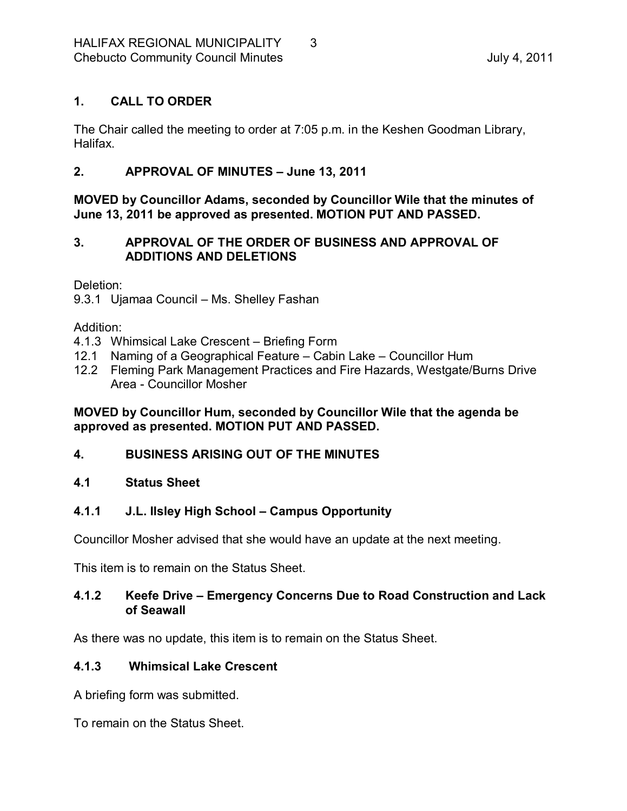# <span id="page-2-0"></span>**1. CALL TO ORDER**

The Chair called the meeting to order at 7:05 p.m. in the Keshen Goodman Library, Halifax.

# <span id="page-2-1"></span>**2. APPROVAL OF MINUTES – June 13, 2011**

**MOVED by Councillor Adams, seconded by Councillor Wile that the minutes of June 13, 2011 be approved as presented. MOTION PUT AND PASSED.** 

# <span id="page-2-2"></span>**3. APPROVAL OF THE ORDER OF BUSINESS AND APPROVAL OF ADDITIONS AND DELETIONS**

Deletion:

9.3.1 Ujamaa Council – Ms. Shelley Fashan

Addition:

- 4.1.3 Whimsical Lake Crescent Briefing Form
- 12.1 Naming of a Geographical Feature Cabin Lake Councillor Hum
- 12.2 Fleming Park Management Practices and Fire Hazards, Westgate/Burns Drive Area - Councillor Mosher

### **MOVED by Councillor Hum, seconded by Councillor Wile that the agenda be approved as presented. MOTION PUT AND PASSED.**

### <span id="page-2-3"></span>**4. BUSINESS ARISING OUT OF THE MINUTES**

### <span id="page-2-4"></span>**4.1 Status Sheet**

### <span id="page-2-5"></span>**4.1.1 J.L. Ilsley High School – Campus Opportunity**

Councillor Mosher advised that she would have an update at the next meeting.

This item is to remain on the Status Sheet.

### <span id="page-2-6"></span>**4.1.2 Keefe Drive – Emergency Concerns Due to Road Construction and Lack of Seawall**

As there was no update, this item is to remain on the Status Sheet.

### <span id="page-2-7"></span>**4.1.3 Whimsical Lake Crescent**

A briefing form was submitted.

To remain on the Status Sheet.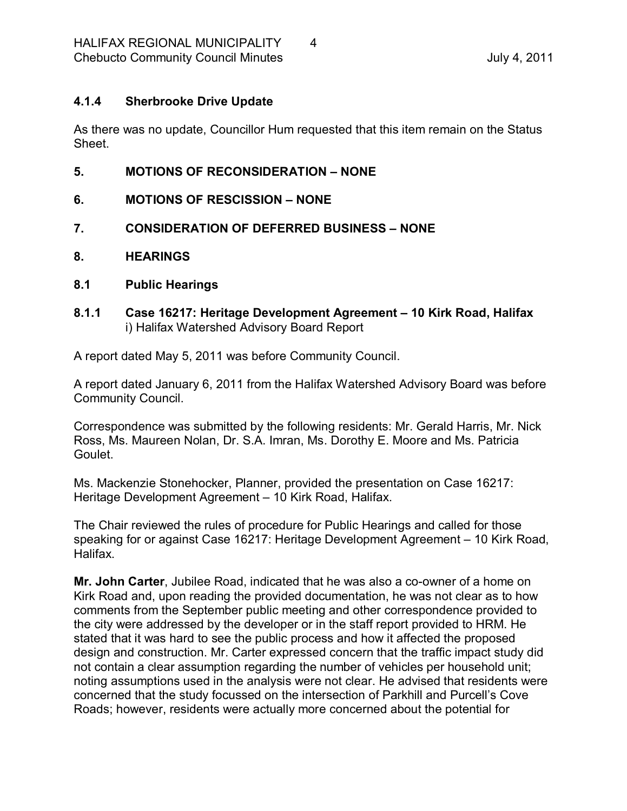### <span id="page-3-0"></span>**4.1.4 Sherbrooke Drive Update**

As there was no update, Councillor Hum requested that this item remain on the Status Sheet.

- <span id="page-3-1"></span>**5. MOTIONS OF RECONSIDERATION – NONE**
- <span id="page-3-2"></span>**6. MOTIONS OF RESCISSION – NONE**
- <span id="page-3-3"></span>**7. CONSIDERATION OF DEFERRED BUSINESS – NONE**
- <span id="page-3-4"></span>**8. HEARINGS**
- <span id="page-3-5"></span>**8.1 Public Hearings**
- <span id="page-3-6"></span>**8.1.1 Case 16217: Heritage Development Agreement – 10 Kirk Road, Halifax** i) Halifax Watershed Advisory Board Report

A report dated May 5, 2011 was before Community Council.

A report dated January 6, 2011 from the Halifax Watershed Advisory Board was before Community Council.

Correspondence was submitted by the following residents: Mr. Gerald Harris, Mr. Nick Ross, Ms. Maureen Nolan, Dr. S.A. Imran, Ms. Dorothy E. Moore and Ms. Patricia Goulet.

Ms. Mackenzie Stonehocker, Planner, provided the presentation on Case 16217: Heritage Development Agreement – 10 Kirk Road, Halifax.

The Chair reviewed the rules of procedure for Public Hearings and called for those speaking for or against Case 16217: Heritage Development Agreement – 10 Kirk Road, Halifax.

**Mr. John Carter**, Jubilee Road, indicated that he was also a co-owner of a home on Kirk Road and, upon reading the provided documentation, he was not clear as to how comments from the September public meeting and other correspondence provided to the city were addressed by the developer or in the staff report provided to HRM. He stated that it was hard to see the public process and how it affected the proposed design and construction. Mr. Carter expressed concern that the traffic impact study did not contain a clear assumption regarding the number of vehicles per household unit; noting assumptions used in the analysis were not clear. He advised that residents were concerned that the study focussed on the intersection of Parkhill and Purcell's Cove Roads; however, residents were actually more concerned about the potential for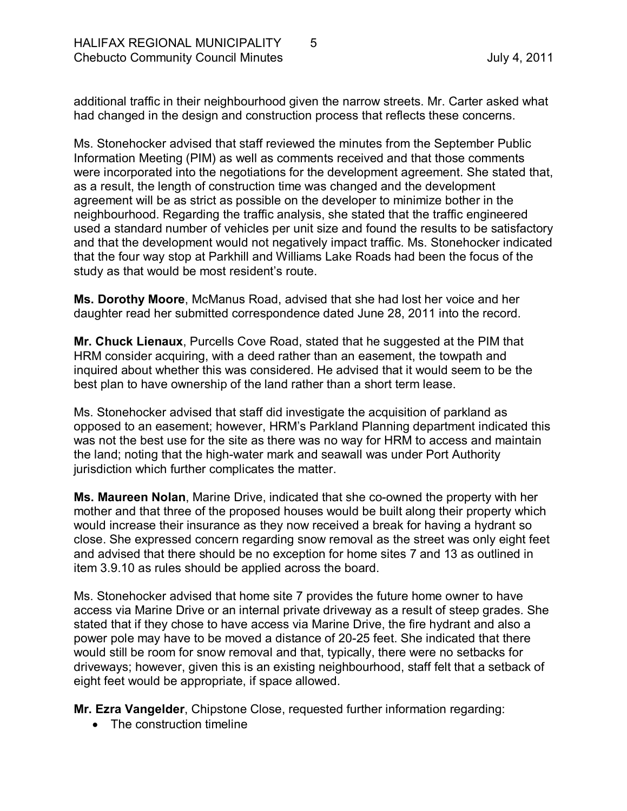additional traffic in their neighbourhood given the narrow streets. Mr. Carter asked what had changed in the design and construction process that reflects these concerns.

Ms. Stonehocker advised that staff reviewed the minutes from the September Public Information Meeting (PIM) as well as comments received and that those comments were incorporated into the negotiations for the development agreement. She stated that, as a result, the length of construction time was changed and the development agreement will be as strict as possible on the developer to minimize bother in the neighbourhood. Regarding the traffic analysis, she stated that the traffic engineered used a standard number of vehicles per unit size and found the results to be satisfactory and that the development would not negatively impact traffic. Ms. Stonehocker indicated that the four way stop at Parkhill and Williams Lake Roads had been the focus of the study as that would be most resident's route.

**Ms. Dorothy Moore**, McManus Road, advised that she had lost her voice and her daughter read her submitted correspondence dated June 28, 2011 into the record.

**Mr. Chuck Lienaux**, Purcells Cove Road, stated that he suggested at the PIM that HRM consider acquiring, with a deed rather than an easement, the towpath and inquired about whether this was considered. He advised that it would seem to be the best plan to have ownership of the land rather than a short term lease.

Ms. Stonehocker advised that staff did investigate the acquisition of parkland as opposed to an easement; however, HRM's Parkland Planning department indicated this was not the best use for the site as there was no way for HRM to access and maintain the land; noting that the high-water mark and seawall was under Port Authority jurisdiction which further complicates the matter.

**Ms. Maureen Nolan,** Marine Drive, indicated that she co-owned the property with her mother and that three of the proposed houses would be built along their property which would increase their insurance as they now received a break for having a hydrant so close. She expressed concern regarding snow removal as the street was only eight feet and advised that there should be no exception for home sites 7 and 13 as outlined in item 3.9.10 as rules should be applied across the board.

Ms. Stonehocker advised that home site 7 provides the future home owner to have access via Marine Drive or an internal private driveway as a result of steep grades. She stated that if they chose to have access via Marine Drive, the fire hydrant and also a power pole may have to be moved a distance of 20-25 feet. She indicated that there would still be room for snow removal and that, typically, there were no setbacks for driveways; however, given this is an existing neighbourhood, staff felt that a setback of eight feet would be appropriate, if space allowed.

**Mr. Ezra Vangelder**, Chipstone Close, requested further information regarding:

• The construction timeline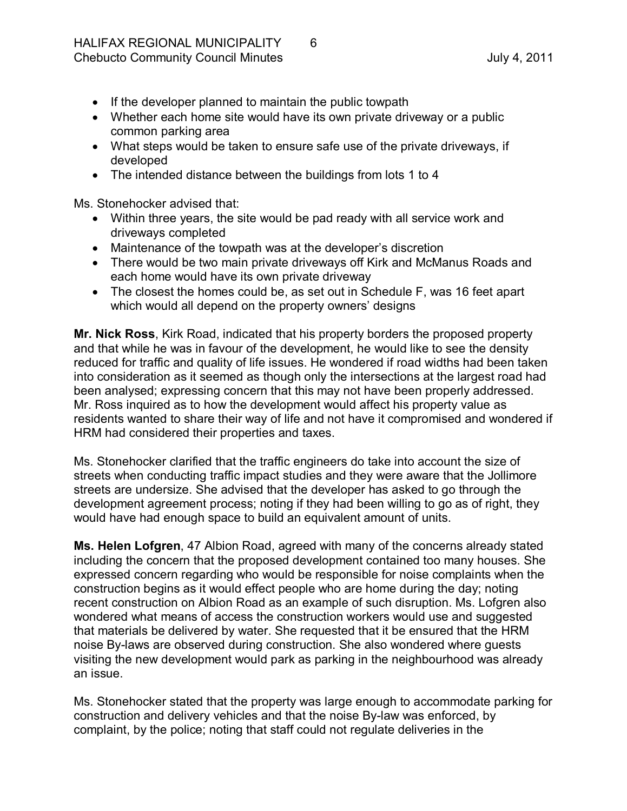- · If the developer planned to maintain the public towpath
- Whether each home site would have its own private driveway or a public common parking area
- · What steps would be taken to ensure safe use of the private driveways, if developed
- The intended distance between the buildings from lots 1 to 4

Ms. Stonehocker advised that:

- · Within three years, the site would be pad ready with all service work and driveways completed
- · Maintenance of the towpath was at the developer's discretion
- There would be two main private driveways off Kirk and McManus Roads and each home would have its own private driveway
- · The closest the homes could be, as set out in Schedule F, was 16 feet apart which would all depend on the property owners' designs

**Mr. Nick Ross**, Kirk Road, indicated that his property borders the proposed property and that while he was in favour of the development, he would like to see the density reduced for traffic and quality of life issues. He wondered if road widths had been taken into consideration as it seemed as though only the intersections at the largest road had been analysed; expressing concern that this may not have been properly addressed. Mr. Ross inquired as to how the development would affect his property value as residents wanted to share their way of life and not have it compromised and wondered if HRM had considered their properties and taxes.

Ms. Stonehocker clarified that the traffic engineers do take into account the size of streets when conducting traffic impact studies and they were aware that the Jollimore streets are undersize. She advised that the developer has asked to go through the development agreement process; noting if they had been willing to go as of right, they would have had enough space to build an equivalent amount of units.

**Ms. Helen Lofgren**, 47 Albion Road, agreed with many of the concerns already stated including the concern that the proposed development contained too many houses. She expressed concern regarding who would be responsible for noise complaints when the construction begins as it would effect people who are home during the day; noting recent construction on Albion Road as an example of such disruption. Ms. Lofgren also wondered what means of access the construction workers would use and suggested that materials be delivered by water. She requested that it be ensured that the HRM noise By-laws are observed during construction. She also wondered where quests visiting the new development would park as parking in the neighbourhood was already an issue.

Ms. Stonehocker stated that the property was large enough to accommodate parking for construction and delivery vehicles and that the noise By-law was enforced, by complaint, by the police; noting that staff could not regulate deliveries in the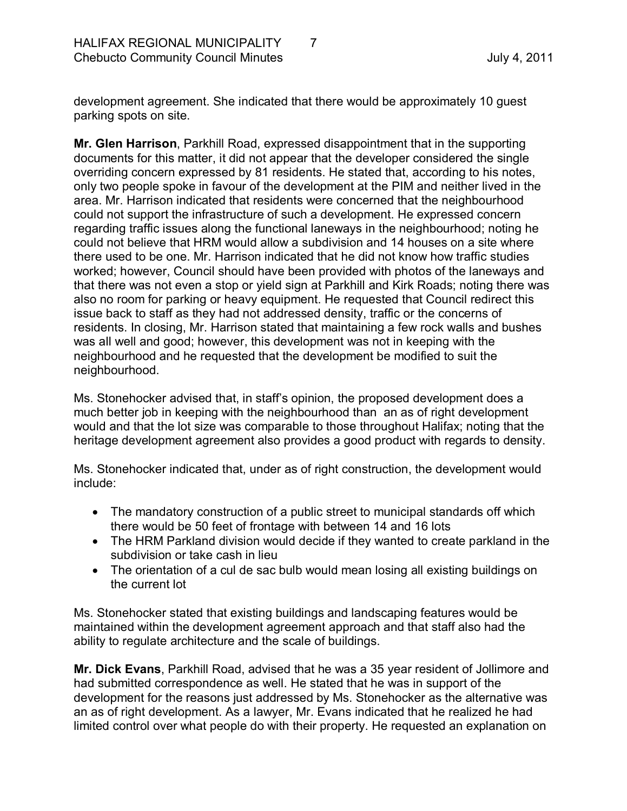development agreement. She indicated that there would be approximately 10 guest parking spots on site.

**Mr. Glen Harrison**, Parkhill Road, expressed disappointment that in the supporting documents for this matter, it did not appear that the developer considered the single overriding concern expressed by 81 residents. He stated that, according to his notes, only two people spoke in favour of the development at the PIM and neither lived in the area. Mr. Harrison indicated that residents were concerned that the neighbourhood could not support the infrastructure of such a development. He expressed concern regarding traffic issues along the functional laneways in the neighbourhood; noting he could not believe that HRM would allow a subdivision and 14 houses on a site where there used to be one. Mr. Harrison indicated that he did not know how traffic studies worked; however, Council should have been provided with photos of the laneways and that there was not even a stop or yield sign at Parkhill and Kirk Roads; noting there was also no room for parking or heavy equipment. He requested that Council redirect this issue back to staff as they had not addressed density, traffic or the concerns of residents. In closing, Mr. Harrison stated that maintaining a few rock walls and bushes was all well and good; however, this development was not in keeping with the neighbourhood and he requested that the development be modified to suit the neighbourhood.

Ms. Stonehocker advised that, in staff's opinion, the proposed development does a much better job in keeping with the neighbourhood than an as of right development would and that the lot size was comparable to those throughout Halifax; noting that the heritage development agreement also provides a good product with regards to density.

Ms. Stonehocker indicated that, under as of right construction, the development would include:

- The mandatory construction of a public street to municipal standards off which there would be 50 feet of frontage with between 14 and 16 lots
- · The HRM Parkland division would decide if they wanted to create parkland in the subdivision or take cash in lieu
- The orientation of a cul de sac bulb would mean losing all existing buildings on the current lot

Ms. Stonehocker stated that existing buildings and landscaping features would be maintained within the development agreement approach and that staff also had the ability to regulate architecture and the scale of buildings.

**Mr. Dick Evans**, Parkhill Road, advised that he was a 35 year resident of Jollimore and had submitted correspondence as well. He stated that he was in support of the development for the reasons just addressed by Ms. Stonehocker as the alternative was an as of right development. As a lawyer, Mr. Evans indicated that he realized he had limited control over what people do with their property. He requested an explanation on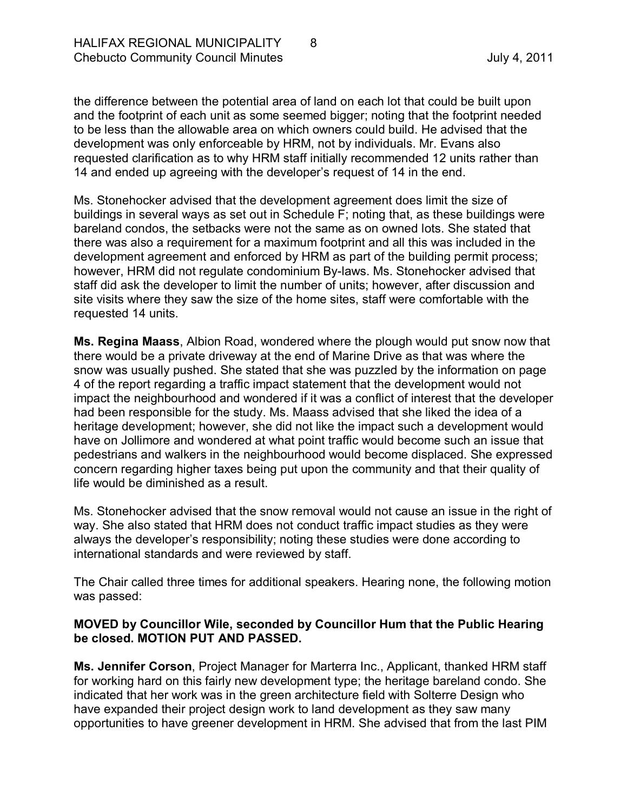the difference between the potential area of land on each lot that could be built upon and the footprint of each unit as some seemed bigger; noting that the footprint needed to be less than the allowable area on which owners could build. He advised that the development was only enforceable by HRM, not by individuals. Mr. Evans also requested clarification as to why HRM staff initially recommended 12 units rather than 14 and ended up agreeing with the developer's request of 14 in the end.

Ms. Stonehocker advised that the development agreement does limit the size of buildings in several ways as set out in Schedule F; noting that, as these buildings were bareland condos, the setbacks were not the same as on owned lots. She stated that there was also a requirement for a maximum footprint and all this was included in the development agreement and enforced by HRM as part of the building permit process; however, HRM did not regulate condominium By-laws. Ms. Stonehocker advised that staff did ask the developer to limit the number of units; however, after discussion and site visits where they saw the size of the home sites, staff were comfortable with the requested 14 units.

**Ms. Regina Maass**, Albion Road, wondered where the plough would put snow now that there would be a private driveway at the end of Marine Drive as that was where the snow was usually pushed. She stated that she was puzzled by the information on page 4 of the report regarding a traffic impact statement that the development would not impact the neighbourhood and wondered if it was a conflict of interest that the developer had been responsible for the study. Ms. Maass advised that she liked the idea of a heritage development; however, she did not like the impact such a development would have on Jollimore and wondered at what point traffic would become such an issue that pedestrians and walkers in the neighbourhood would become displaced. She expressed concern regarding higher taxes being put upon the community and that their quality of life would be diminished as a result.

Ms. Stonehocker advised that the snow removal would not cause an issue in the right of way. She also stated that HRM does not conduct traffic impact studies as they were always the developer's responsibility; noting these studies were done according to international standards and were reviewed by staff.

The Chair called three times for additional speakers. Hearing none, the following motion was passed:

### **MOVED by Councillor Wile, seconded by Councillor Hum that the Public Hearing be closed. MOTION PUT AND PASSED.**

**Ms. Jennifer Corson**, Project Manager for Marterra Inc., Applicant, thanked HRM staff for working hard on this fairly new development type; the heritage bareland condo. She indicated that her work was in the green architecture field with Solterre Design who have expanded their project design work to land development as they saw many opportunities to have greener development in HRM. She advised that from the last PIM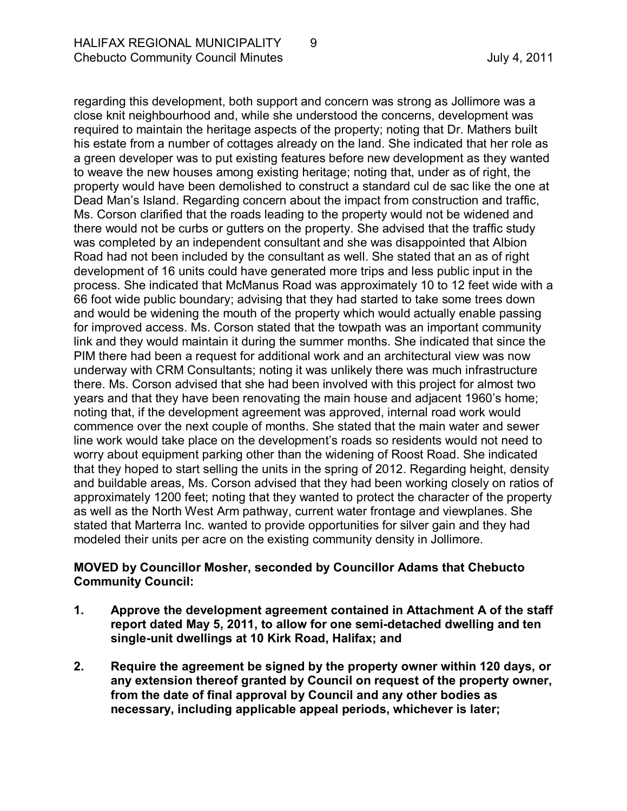regarding this development, both support and concern was strong as Jollimore was a close knit neighbourhood and, while she understood the concerns, development was required to maintain the heritage aspects of the property; noting that Dr. Mathers built his estate from a number of cottages already on the land. She indicated that her role as a green developer was to put existing features before new development as they wanted to weave the new houses among existing heritage; noting that, under as of right, the property would have been demolished to construct a standard cul de sac like the one at Dead Man's Island. Regarding concern about the impact from construction and traffic, Ms. Corson clarified that the roads leading to the property would not be widened and there would not be curbs or gutters on the property. She advised that the traffic study was completed by an independent consultant and she was disappointed that Albion Road had not been included by the consultant as well. She stated that an as of right development of 16 units could have generated more trips and less public input in the process. She indicated that McManus Road was approximately 10 to 12 feet wide with a 66 foot wide public boundary; advising that they had started to take some trees down and would be widening the mouth of the property which would actually enable passing for improved access. Ms. Corson stated that the towpath was an important community link and they would maintain it during the summer months. She indicated that since the PIM there had been a request for additional work and an architectural view was now underway with CRM Consultants; noting it was unlikely there was much infrastructure there. Ms. Corson advised that she had been involved with this project for almost two years and that they have been renovating the main house and adjacent 1960's home; noting that, if the development agreement was approved, internal road work would commence over the next couple of months. She stated that the main water and sewer line work would take place on the development's roads so residents would not need to worry about equipment parking other than the widening of Roost Road. She indicated that they hoped to start selling the units in the spring of 2012. Regarding height, density and buildable areas, Ms. Corson advised that they had been working closely on ratios of approximately 1200 feet; noting that they wanted to protect the character of the property as well as the North West Arm pathway, current water frontage and viewplanes. She stated that Marterra Inc. wanted to provide opportunities for silver gain and they had modeled their units per acre on the existing community density in Jollimore.

#### **MOVED by Councillor Mosher, seconded by Councillor Adams that Chebucto Community Council:**

- **1. Approve the development agreement contained in Attachment A of the staff** report dated May 5, 2011, to allow for one semi-detached dwelling and ten single-unit dwellings at 10 Kirk Road, Halifax; and
- **2. Require the agreement be signed by the property owner within 120 days, or any extension thereof granted by Council on request of the property owner, from the date of final approval by Council and any other bodies as necessary, including applicable appeal periods, whichever is later;**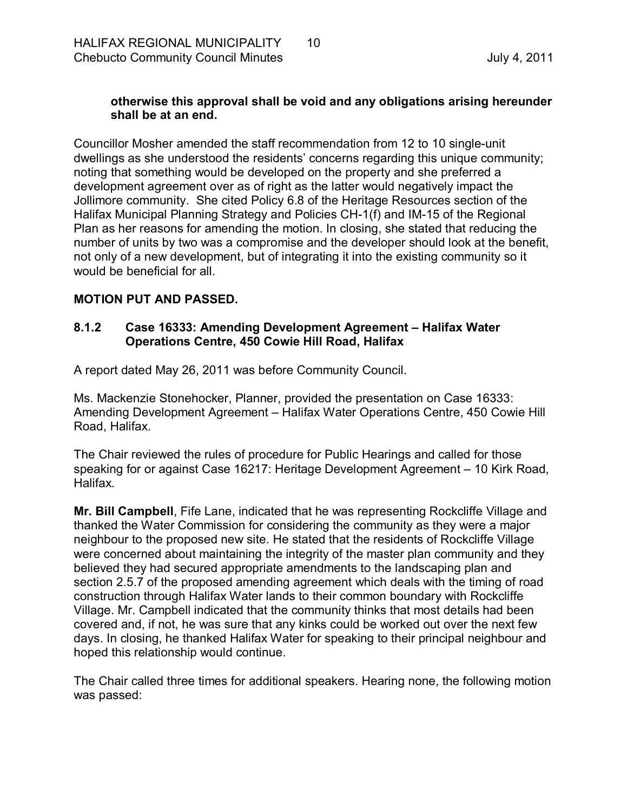### **otherwise this approval shall be void and any obligations arising hereunder shall be at an end.**

Councillor Mosher amended the staff recommendation from 12 to 10 single-unit dwellings as she understood the residents' concerns regarding this unique community; noting that something would be developed on the property and she preferred a development agreement over as of right as the latter would negatively impact the Jollimore community. She cited Policy 6.8 of the Heritage Resources section of the Halifax Municipal Planning Strategy and Policies CH-1(f) and IM-15 of the Regional Plan as her reasons for amending the motion. In closing, she stated that reducing the number of units by two was a compromise and the developer should look at the benefit, not only of a new development, but of integrating it into the existing community so it would be beneficial for all.

### **MOTION PUT AND PASSED.**

#### <span id="page-9-0"></span>**8.1.2 Case 16333: Amending Development Agreement – Halifax Water Operations Centre, 450 Cowie Hill Road, Halifax**

A report dated May 26, 2011 was before Community Council.

Ms. Mackenzie Stonehocker, Planner, provided the presentation on Case 16333: Amending Development Agreement – Halifax Water Operations Centre, 450 Cowie Hill Road, Halifax.

The Chair reviewed the rules of procedure for Public Hearings and called for those speaking for or against Case 16217: Heritage Development Agreement – 10 Kirk Road, Halifax.

**Mr. Bill Campbell**, Fife Lane, indicated that he was representing Rockcliffe Village and thanked the Water Commission for considering the community as they were a major neighbour to the proposed new site. He stated that the residents of Rockcliffe Village were concerned about maintaining the integrity of the master plan community and they believed they had secured appropriate amendments to the landscaping plan and section 2.5.7 of the proposed amending agreement which deals with the timing of road construction through Halifax Water lands to their common boundary with Rockcliffe Village. Mr. Campbell indicated that the community thinks that most details had been covered and, if not, he was sure that any kinks could be worked out over the next few days. In closing, he thanked Halifax Water for speaking to their principal neighbour and hoped this relationship would continue.

The Chair called three times for additional speakers. Hearing none, the following motion was passed: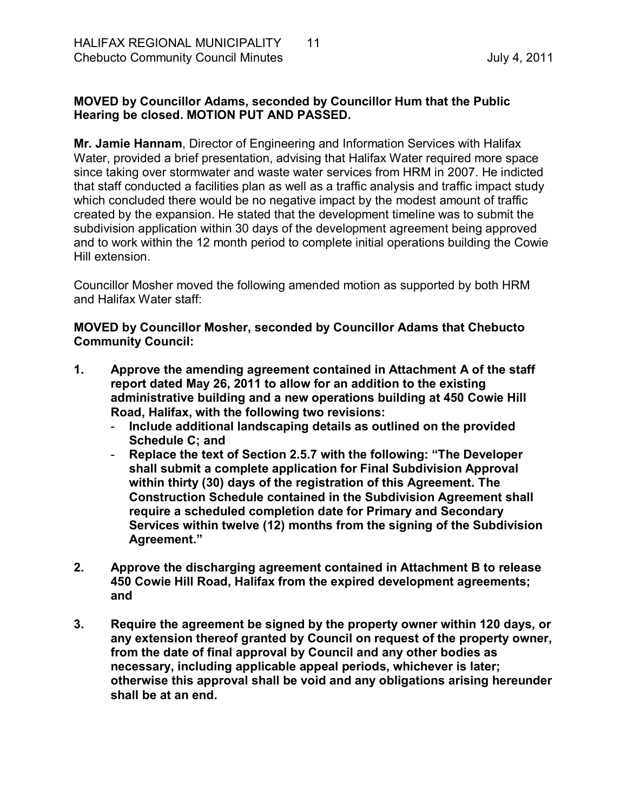# **MOVED by Councillor Adams, seconded by Councillor Hum that the Public Hearing be closed. MOTION PUT AND PASSED.**

**Mr. Jamie Hannam**, Director of Engineering and Information Services with Halifax Water, provided a brief presentation, advising that Halifax Water required more space since taking over stormwater and waste water services from HRM in 2007. He indicted that staff conducted a facilities plan as well as a traffic analysis and traffic impact study which concluded there would be no negative impact by the modest amount of traffic created by the expansion. He stated that the development timeline was to submit the subdivision application within 30 days of the development agreement being approved and to work within the 12 month period to complete initial operations building the Cowie Hill extension.

Councillor Mosher moved the following amended motion as supported by both HRM and Halifax Water staff:

### **MOVED by Councillor Mosher, seconded by Councillor Adams that Chebucto Community Council:**

- **1. Approve the amending agreement contained in Attachment A of the staff report dated May 26, 2011 to allow for an addition to the existing administrative building and a new operations building at 450 Cowie Hill Road, Halifax, with the following two revisions:**
	- **Include additional landscaping details as outlined on the provided Schedule C; and**
	- **Replace the text of Section 2.5.7 with the following: "The Developer shall submit a complete application for Final Subdivision Approval within thirty (30) days of the registration of this Agreement. The Construction Schedule contained in the Subdivision Agreement shall require a scheduled completion date for Primary and Secondary Services within twelve (12) months from the signing of the Subdivision Agreement."**
- **2. Approve the discharging agreement contained in Attachment B to release 450 Cowie Hill Road, Halifax from the expired development agreements; and**
- **3. Require the agreement be signed by the property owner within 120 days, or any extension thereof granted by Council on request of the property owner, from the date of final approval by Council and any other bodies as necessary, including applicable appeal periods, whichever is later; otherwise this approval shall be void and any obligations arising hereunder shall be at an end.**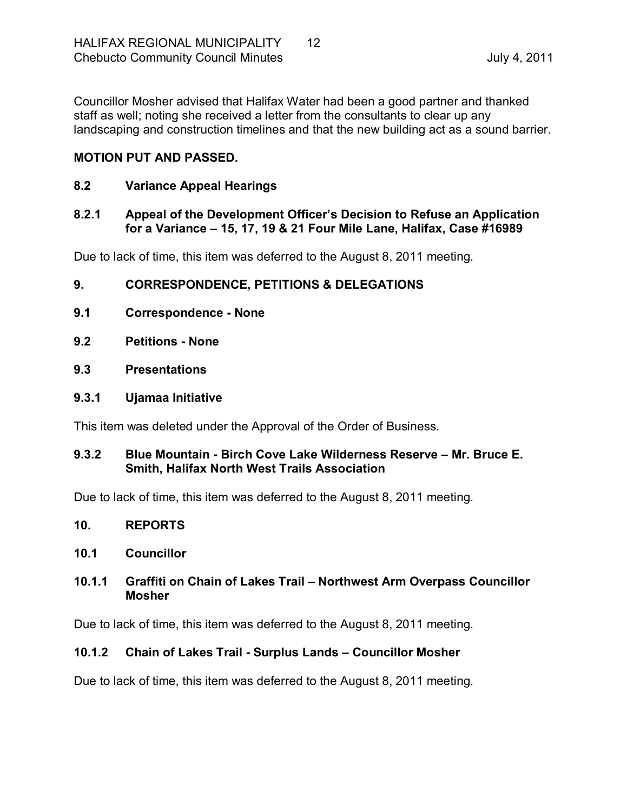Councillor Mosher advised that Halifax Water had been a good partner and thanked staff as well; noting she received a letter from the consultants to clear up any landscaping and construction timelines and that the new building act as a sound barrier.

# **MOTION PUT AND PASSED.**

### <span id="page-11-0"></span>**8.2 Variance Appeal Hearings**

### <span id="page-11-1"></span>**8.2.1 Appeal of the Development Officer's Decision to Refuse an Application for a Variance – 15, 17, 19 & 21 Four Mile Lane, Halifax, Case #16989**

Due to lack of time, this item was deferred to the August 8, 2011 meeting*.*

# <span id="page-11-2"></span>**9. CORRESPONDENCE, PETITIONS & DELEGATIONS**

- <span id="page-11-3"></span>**9.1 Correspondence None**
- <span id="page-11-4"></span>**9.2 Petitions None**
- <span id="page-11-5"></span>**9.3 Presentations**

### <span id="page-11-6"></span>**9.3.1 Ujamaa Initiative**

This item was deleted under the Approval of the Order of Business.

### <span id="page-11-7"></span>**9.3.2 Blue Mountain Birch Cove Lake Wilderness Reserve – Mr. Bruce E. Smith, Halifax North West Trails Association**

Due to lack of time, this item was deferred to the August 8, 2011 meeting*.*

<span id="page-11-8"></span>**10. REPORTS**

# <span id="page-11-9"></span>**10.1 Councillor**

### <span id="page-11-10"></span>**10.1.1 Graffiti on Chain of Lakes Trail – Northwest Arm Overpass Councillor Mosher**

Due to lack of time, this item was deferred to the August 8, 2011 meeting*.*

# <span id="page-11-11"></span>**10.1.2 Chain of Lakes Trail Surplus Lands – Councillor Mosher**

Due to lack of time, this item was deferred to the August 8, 2011 meeting*.*